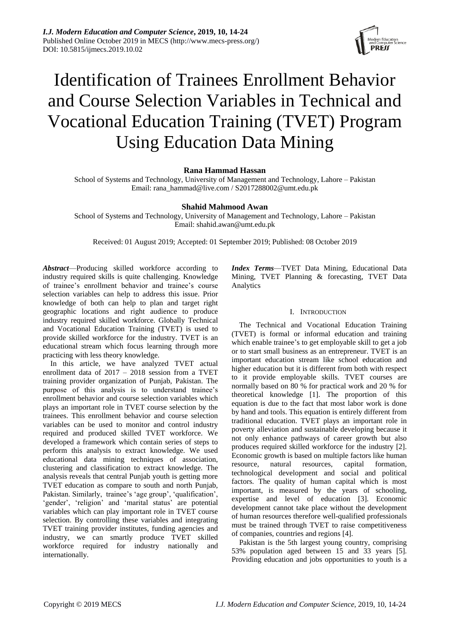

# Identification of Trainees Enrollment Behavior and Course Selection Variables in Technical and Vocational Education Training (TVET) Program Using Education Data Mining

# **Rana Hammad Hassan**

School of Systems and Technology, University of Management and Technology, Lahore – Pakistan Email: rana\_hammad@live.com / S2017288002@umt.edu.pk

# **Shahid Mahmood Awan**

School of Systems and Technology, University of Management and Technology, Lahore – Pakistan Email: shahid.awan@umt.edu.pk

Received: 01 August 2019; Accepted: 01 September 2019; Published: 08 October 2019

*Abstract*—Producing skilled workforce according to industry required skills is quite challenging. Knowledge of trainee's enrollment behavior and trainee's course selection variables can help to address this issue. Prior knowledge of both can help to plan and target right geographic locations and right audience to produce industry required skilled workforce. Globally Technical and Vocational Education Training (TVET) is used to provide skilled workforce for the industry. TVET is an educational stream which focus learning through more practicing with less theory knowledge.

In this article, we have analyzed TVET actual enrollment data of 2017 – 2018 session from a TVET training provider organization of Punjab, Pakistan. The purpose of this analysis is to understand trainee's enrollment behavior and course selection variables which plays an important role in TVET course selection by the trainees. This enrollment behavior and course selection variables can be used to monitor and control industry required and produced skilled TVET workforce. We developed a framework which contain series of steps to perform this analysis to extract knowledge. We used educational data mining techniques of association, clustering and classification to extract knowledge. The analysis reveals that central Punjab youth is getting more TVET education as compare to south and north Punjab, Pakistan. Similarly, trainee's 'age group', 'qualification', 'gender', 'religion' and 'marital status' are potential variables which can play important role in TVET course selection. By controlling these variables and integrating TVET training provider institutes, funding agencies and industry, we can smartly produce TVET skilled workforce required for industry nationally and internationally.

*Index Terms*—TVET Data Mining, Educational Data Mining, TVET Planning & forecasting, TVET Data Analytics

# I. INTRODUCTION

The Technical and Vocational Education Training (TVET) is formal or informal education and training which enable trainee's to get employable skill to get a job or to start small business as an entrepreneur. TVET is an important education stream like school education and higher education but it is different from both with respect to it provide employable skills. TVET courses are normally based on 80 % for practical work and 20 % for theoretical knowledge [1]. The proportion of this equation is due to the fact that most labor work is done by hand and tools. This equation is entirely different from traditional education. TVET plays an important role in poverty alleviation and sustainable developing because it not only enhance pathways of career growth but also produces required skilled workforce for the industry [2]. Economic growth is based on multiple factors like human resource, natural resources, capital formation, technological development and social and political factors. The quality of human capital which is most important, is measured by the years of schooling, expertise and level of education [3]. Economic development cannot take place without the development of human resources therefore well-qualified professionals must be trained through TVET to raise competitiveness of companies, countries and regions [4].

Pakistan is the 5th largest young country, comprising 53% population aged between 15 and 33 years [5]. Providing education and jobs opportunities to youth is a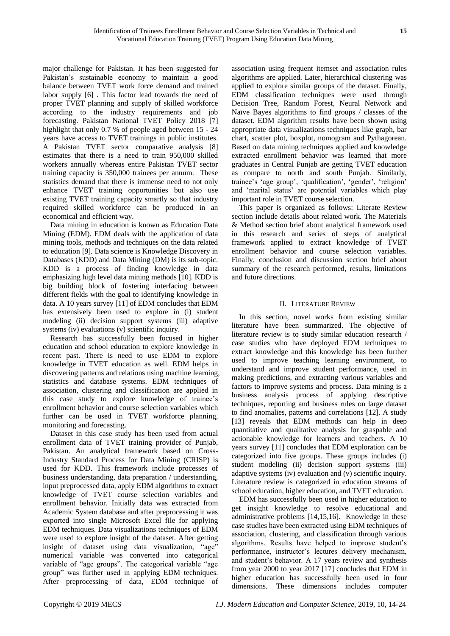major challenge for Pakistan. It has been suggested for Pakistan's sustainable economy to maintain a good balance between TVET work force demand and trained labor supply [6] . This factor lead towards the need of proper TVET planning and supply of skilled workforce according to the industry requirements and job forecasting. Pakistan National TVET Policy 2018 [7] highlight that only 0.7 % of people aged between 15 - 24 years have access to TVET trainings in public institutes. A Pakistan TVET sector comparative analysis [8] estimates that there is a need to train 950,000 skilled workers annually whereas entire Pakistan TVET sector training capacity is 350,000 trainees per annum. These statistics demand that there is immense need to not only enhance TVET training opportunities but also use existing TVET training capacity smartly so that industry required skilled workforce can be produced in an economical and efficient way.

Data mining in education is known as Education Data Mining (EDM). EDM deals with the application of data mining tools, methods and techniques on the data related to education [9]. Data science is Knowledge Discovery in Databases (KDD) and Data Mining (DM) is its sub-topic. KDD is a process of finding knowledge in data emphasizing high level data mining methods [10]. KDD is big building block of fostering interfacing between different fields with the goal to identifying knowledge in data. A 10 years survey [11] of EDM concludes that EDM has extensively been used to explore in (i) student modeling (ii) decision support systems (iii) adaptive systems (iv) evaluations (v) scientific inquiry.

Research has successfully been focused in higher education and school education to explore knowledge in recent past. There is need to use EDM to explore knowledge in TVET education as well. EDM helps in discovering patterns and relations using machine learning, statistics and database systems. EDM techniques of association, clustering and classification are applied in this case study to explore knowledge of trainee's enrollment behavior and course selection variables which further can be used in TVET workforce planning, monitoring and forecasting.

Dataset in this case study has been used from actual enrollment data of TVET training provider of Punjab, Pakistan. An analytical framework based on Cross-Industry Standard Process for Data Mining (CRISP) is used for KDD. This framework include processes of business understanding, data preparation / understanding, input preprocessed data, apply EDM algorithms to extract knowledge of TVET course selection variables and enrollment behavior. Initially data was extracted from Academic System database and after preprocessing it was exported into single Microsoft Excel file for applying EDM techniques. Data visualizations techniques of EDM were used to explore insight of the dataset. After getting insight of dataset using data visualization, "age" numerical variable was converted into categorical variable of "age groups". The categorical variable "age group" was further used in applying EDM techniques. After preprocessing of data, EDM technique of

association using frequent itemset and association rules algorithms are applied. Later, hierarchical clustering was applied to explore similar groups of the dataset. Finally, EDM classification techniques were used through Decision Tree, Random Forest, Neural Network and Naïve Bayes algorithms to find groups / classes of the dataset. EDM algorithm results have been shown using appropriate data visualizations techniques like graph, bar chart, scatter plot, boxplot, nomogram and Pythagorean. Based on data mining techniques applied and knowledge extracted enrollment behavior was learned that more graduates in Central Punjab are getting TVET education as compare to north and south Punjab. Similarly, trainee's 'age group', 'qualification', 'gender', 'religion' and 'marital status' are potential variables which play important role in TVET course selection.

This paper is organized as follows: Literate Review section include details about related work. The Materials & Method section brief about analytical framework used in this research and series of steps of analytical framework applied to extract knowledge of TVET enrollment behavior and course selection variables. Finally, conclusion and discussion section brief about summary of the research performed, results, limitations and future directions.

## II. LITERATURE REVIEW

In this section, novel works from existing similar literature have been summarized. The objective of literature review is to study similar education research / case studies who have deployed EDM techniques to extract knowledge and this knowledge has been further used to improve teaching learning environment, to understand and improve student performance, used in making predictions, and extracting various variables and factors to improve systems and process. Data mining is a business analysis process of applying descriptive techniques, reporting and business rules on large dataset to find anomalies, patterns and correlations [12]. A study [13] reveals that EDM methods can help in deep quantitative and qualitative analysis for graspable and actionable knowledge for learners and teachers. A 10 years survey [11] concludes that EDM exploration can be categorized into five groups. These groups includes (i) student modeling (ii) decision support systems (iii) adaptive systems (iv) evaluation and (v) scientific inquiry. Literature review is categorized in education streams of school education, higher education, and TVET education.

EDM has successfully been used in higher education to get insight knowledge to resolve educational and administrative problems [14,15,16]. Knowledge in these case studies have been extracted using EDM techniques of association, clustering, and classification through various algorithms. Results have helped to improve student's performance, instructor's lectures delivery mechanism, and student's behavior. A 17 years review and synthesis from year 2000 to year 2017 [17] concludes that EDM in higher education has successfully been used in four dimensions. These dimensions includes computer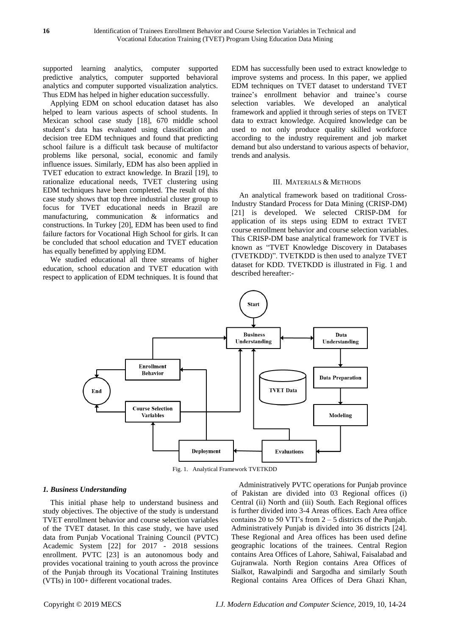supported learning analytics, computer supported predictive analytics, computer supported behavioral analytics and computer supported visualization analytics. Thus EDM has helped in higher education successfully.

Applying EDM on school education dataset has also helped to learn various aspects of school students. In Mexican school case study [18], 670 middle school student's data has evaluated using classification and decision tree EDM techniques and found that predicting school failure is a difficult task because of multifactor problems like personal, social, economic and family influence issues. Similarly, EDM has also been applied in TVET education to extract knowledge. In Brazil [19], to rationalize educational needs, TVET clustering using EDM techniques have been completed. The result of this case study shows that top three industrial cluster group to focus for TVET educational needs in Brazil are manufacturing, communication & informatics and constructions. In Turkey [20], EDM has been used to find failure factors for Vocational High School for girls. It can be concluded that school education and TVET education has equally benefitted by applying EDM.

We studied educational all three streams of higher education, school education and TVET education with respect to application of EDM techniques. It is found that EDM has successfully been used to extract knowledge to improve systems and process. In this paper, we applied EDM techniques on TVET dataset to understand TVET trainee's enrollment behavior and trainee's course selection variables. We developed an analytical framework and applied it through series of steps on TVET data to extract knowledge. Acquired knowledge can be used to not only produce quality skilled workforce according to the industry requirement and job market demand but also understand to various aspects of behavior, trends and analysis.

#### III. MATERIALS & METHODS

An analytical framework based on traditional Cross-Industry Standard Process for Data Mining (CRISP-DM) [21] is developed. We selected CRISP-DM for application of its steps using EDM to extract TVET course enrollment behavior and course selection variables. This CRISP-DM base analytical framework for TVET is known as "TVET Knowledge Discovery in Databases (TVETKDD)". TVETKDD is then used to analyze TVET dataset for KDD. TVETKDD is illustrated in Fig. 1 and described hereafter:-



Fig. 1. Analytical Framework TVETKDD

## *1. Business Understanding*

This initial phase help to understand business and study objectives. The objective of the study is understand TVET enrollment behavior and course selection variables of the TVET dataset. In this case study, we have used data from Punjab Vocational Training Council (PVTC) Academic System [22] for 2017 - 2018 sessions enrollment. PVTC [23] is an autonomous body and provides vocational training to youth across the province of the Punjab through its Vocational Training Institutes (VTIs) in 100+ different vocational trades.

Administratively PVTC operations for Punjab province of Pakistan are divided into 03 Regional offices (i) Central (ii) North and (iii) South. Each Regional offices is further divided into 3-4 Areas offices. Each Area office contains 20 to 50 VTI's from  $2 - 5$  districts of the Punjab. Administratively Punjab is divided into 36 districts [24]. These Regional and Area offices has been used define geographic locations of the trainees. Central Region contains Area Offices of Lahore, Sahiwal, Faisalabad and Gujranwala. North Region contains Area Offices of Sialkot, Rawalpindi and Sargodha and similarly South Regional contains Area Offices of Dera Ghazi Khan,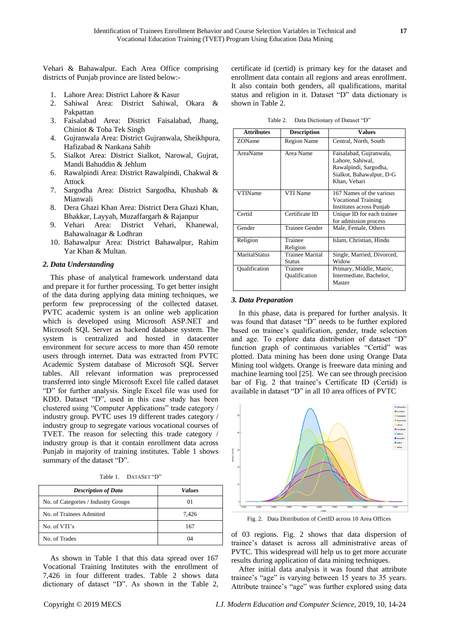Vehari & Bahawalpur. Each Area Office comprising districts of Punjab province are listed below:-

- 1. Lahore Area: District Lahore & Kasur
- 2. Sahiwal Area: District Sahiwal, Okara & Pakpattan
- 3. Faisalabad Area: District Faisalabad, Jhang, Chiniot & Toba Tek Singh
- 4. Gujranwala Area: District Gujranwala, Sheikhpura, Hafizabad & Nankana Sahib
- 5. Sialkot Area: District Sialkot, Narowal, Gujrat, Mandi Bahuddin & Jehlum
- 6. Rawalpindi Area: District Rawalpindi, Chakwal & Attock
- 7. Sargodha Area: District Sargodha, Khushab & Mianwali
- 8. Dera Ghazi Khan Area: District Dera Ghazi Khan, Bhakkar, Layyah, Muzaffargarh & Rajanpur
- 9. Vehari Area: District Vehari, Khanewal, Bahawalnagar & Lodhran
- 10. Bahawalpur Area: District Bahawalpur, Rahim Yar Khan & Multan.

#### *2. Data Understanding*

This phase of analytical framework understand data and prepare it for further processing. To get better insight of the data during applying data mining techniques, we perform few preprocessing of the collected dataset. PVTC academic system is an online web application which is developed using Microsoft ASP.NET and Microsoft SQL Server as backend database system. The system is centralized and hosted in datacenter environment for secure access to more than 450 remote users through internet. Data was extracted from PVTC Academic System database of Microsoft SQL Server tables. All relevant information was preprocessed transferred into single Microsoft Excel file called dataset "D" for further analysis. Single Excel file was used for KDD. Dataset "D", used in this case study has been clustered using "Computer Applications" trade category / industry group. PVTC uses 19 different trades category / industry group to segregate various vocational courses of TVET. The reason for selecting this trade category / industry group is that it contain enrollment data across Punjab in majority of training institutes. Table 1 shows summary of the dataset "D".

| Table 1. | DATASET "D" |
|----------|-------------|
|----------|-------------|

| <b>Description of Data</b>          | <b>Values</b> |
|-------------------------------------|---------------|
| No. of Categories / Industry Groups | 01            |
| No. of Trainees Admitted            | 7,426         |
| No. of VTI's                        | 167           |
| No. of Trades                       | 04            |

As shown in Table 1 that this data spread over 167 Vocational Training Institutes with the enrollment of 7,426 in four different trades. Table 2 shows data dictionary of dataset "D". As shown in the Table 2,

certificate id (certid) is primary key for the dataset and enrollment data contain all regions and areas enrollment. It also contain both genders, all qualifications, marital status and religion in it. Dataset "D" data dictionary is shown in Table 2.

Table 2. Data Dictionary of Dataset "D"

| <b>Attributes</b> | <b>Description</b>                      | <b>Values</b>                                                                                                    |
|-------------------|-----------------------------------------|------------------------------------------------------------------------------------------------------------------|
| ZOName            | <b>Region Name</b>                      | Central, North, South                                                                                            |
| AreaName          | Area Name                               | Faisalabad, Gujranwala,<br>Lahore, Sahiwal,<br>Rawalpindi, Sargodha,<br>Sialkot, Bahawalpur, D-G<br>Khan, Vehari |
| VTIName           | VTI Name                                | 167 Names of the various<br><b>Vocational Training</b><br>Institutes across Punjab                               |
| Certid            | Certificate ID                          | Unique ID for each trainee<br>for admission process                                                              |
| Gender            | <b>Trainee Gender</b>                   | Male, Female, Others                                                                                             |
| Religion          | Trainee<br>Religion                     | Islam, Christian, Hindu                                                                                          |
| MaritalStatus     | <b>Trainee Marital</b><br><b>Status</b> | Single, Married, Divorced,<br>Widow                                                                              |
| Oualification     | Trainee<br>Qualification                | Primary, Middle, Matric,<br>Intermediate, Bachelor,<br>Master                                                    |

#### *3. Data Preparation*

In this phase, data is prepared for further analysis. It was found that dataset "D" needs to be further explored based on trainee's qualification, gender, trade selection and age. To explore data distribution of dataset "D" function graph of continuous variables "Certid" was plotted. Data mining has been done using Orange Data Mining tool widgets. Orange is freeware data mining and machine learning tool [25]. We can see through precision bar of Fig. 2 that trainee's Certificate ID (Certid) is available in dataset "D" in all 10 area offices of PVTC



Fig. 2. Data Distribution of CertID across 10 Area Offices

of 03 regions. Fig. 2 shows that data dispersion of trainee's dataset is across all administrative areas of PVTC. This widespread will help us to get more accurate results during application of data mining techniques.

After initial data analysis it was found that attribute trainee's "age" is varying between 15 years to 35 years. Attribute trainee's "age" was further explored using data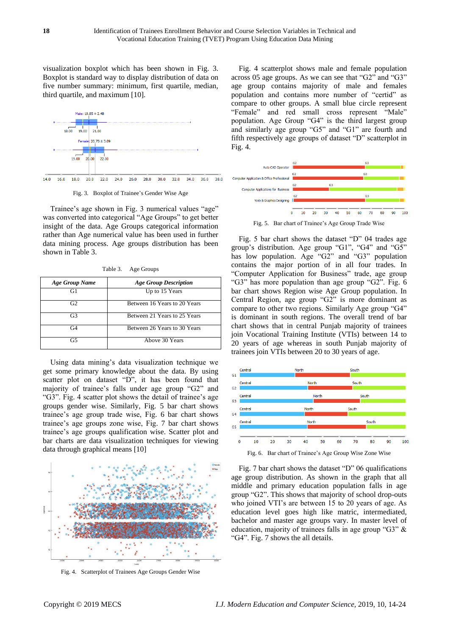visualization boxplot which has been shown in Fig. 3. Boxplot is standard way to display distribution of data on five number summary: minimum, first quartile, median, third quartile, and maximum [10].



Fig. 3. Boxplot of Trainee's Gender Wise Age

Trainee's age shown in Fig. 3 numerical values "age" was converted into categorical "Age Groups" to get better insight of the data. Age Groups categorical information rather than Age numerical value has been used in further data mining process. Age groups distribution has been shown in Table 3.

Table 3. Age Groups

| <b>Age Group Name</b> | <b>Age Group Description</b> |
|-----------------------|------------------------------|
| G1                    | Up to 15 Years               |
| G2                    | Between 16 Years to 20 Years |
| G3                    | Between 21 Years to 25 Years |
| G4                    | Between 26 Years to 30 Years |
| G5                    | Above 30 Years               |

Using data mining's data visualization technique we get some primary knowledge about the data. By using scatter plot on dataset "D", it has been found that majority of trainee's falls under age group "G2" and "G3". Fig. 4 scatter plot shows the detail of trainee's age groups gender wise. Similarly, Fig. 5 bar chart shows trainee's age group trade wise, Fig. 6 bar chart shows trainee's age groups zone wise, Fig. 7 bar chart shows trainee's age groups qualification wise. Scatter plot and bar charts are data visualization techniques for viewing data through graphical means [10]



Fig. 4. Scatterplot of Trainees Age Groups Gender Wise

Fig. 4 scatterplot shows male and female population across 05 age groups. As we can see that "G2" and "G3" age group contains majority of male and females population and contains more number of "certid" as compare to other groups. A small blue circle represent "Female" and red small cross represent "Male" population. Age Group "G4" is the third largest group and similarly age group "G5" and "G1" are fourth and fifth respectively age groups of dataset "D" scatterplot in Fig. 4.



Fig. 5. Bar chart of Trainee's Age Group Trade Wise

Fig. 5 bar chart shows the dataset "D" 04 trades age group's distribution. Age group "G1", "G4" and "G5" has low population. Age "G2" and "G3" population contains the major portion of in all four trades. In "Computer Application for Business" trade, age group "G3" has more population than age group "G2". Fig. 6 bar chart shows Region wise Age Group population. In Central Region, age group "G2" is more dominant as compare to other two regions. Similarly Age group "G4" is dominant in south regions. The overall trend of bar chart shows that in central Punjab majority of trainees join Vocational Training Institute (VTIs) between 14 to 20 years of age whereas in south Punjab majority of trainees join VTIs between 20 to 30 years of age.



Fig. 6. Bar chart of Trainee's Age Group Wise Zone Wise

Fig. 7 bar chart shows the dataset "D" 06 qualifications age group distribution. As shown in the graph that all middle and primary education population falls in age group "G2". This shows that majority of school drop-outs who joined VTI's are between 15 to 20 years of age. As education level goes high like matric, intermediated, bachelor and master age groups vary. In master level of education, majority of trainees falls in age group "G3" & "G4". Fig. 7 shows the all details.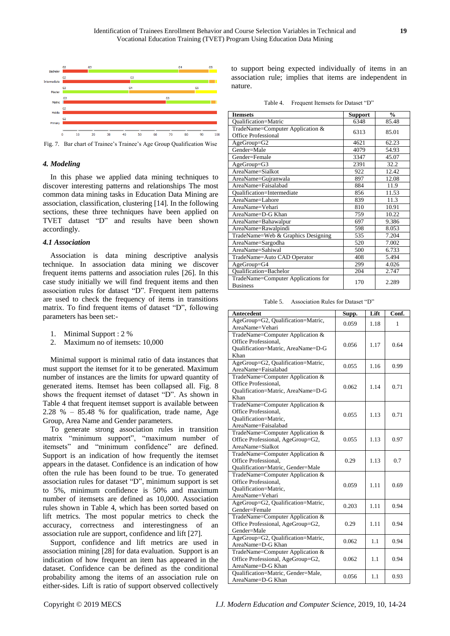

Fig. 7. Bar chart of Trainee's Trainee's Age Group Qualification Wise

## *4. Modeling*

In this phase we applied data mining techniques to discover interesting patterns and relationships The most common data mining tasks in Education Data Mining are association, classification, clustering [14]. In the following sections, these three techniques have been applied on TVET dataset "D" and results have been shown accordingly.

## *4.1 Association*

Association is data mining descriptive analysis technique. In association data mining we discover frequent items patterns and association rules [26]. In this case study initially we will find frequent items and then association rules for dataset "D". Frequent item patterns are used to check the frequency of items in transitions matrix. To find frequent items of dataset "D", following parameters has been set:-

- 1. Minimal Support : 2 %
- 2. Maximum no of itemsets: 10,000

Minimal support is minimal ratio of data instances that must support the itemset for it to be generated. Maximum number of instances are the limits for upward quantity of generated items. Itemset has been collapsed all. Fig. 8 shows the frequent itemset of dataset "D". As shown in Table 4 that frequent itemset support is available between 2.28 % – 85.48 % for qualification, trade name, Age Group, Area Name and Gender parameters.

To generate strong association rules in transition matrix "minimum support", "maximum number of itemsets" and "minimum confidence" are defined. Support is an indication of how frequently the itemset appears in the dataset. Confidence is an indication of how often the rule has been found to be true. To generated association rules for dataset "D", minimum support is set to 5%, minimum confidence is 50% and maximum number of itemsets are defined as 10,000. Association rules shown in Table 4, which has been sorted based on lift metrics. The most popular metrics to check the accuracy, correctness and interestingness of an association rule are support, confidence and lift [27].

Support, confidence and lift metrics are used in association mining [28] for data evaluation. Support is an indication of how frequent an item has appeared in the dataset. Confidence can be defined as the conditional probability among the items of an association rule on either-sides. Lift is ratio of support observed collectively to support being expected individually of items in an association rule; implies that items are independent in nature.

| Table 4. | Frequent Itemsets for Dataset "D" |
|----------|-----------------------------------|
|----------|-----------------------------------|

| <b>Itemsets</b>                                        | <b>Support</b> | $\frac{0}{0}$ |
|--------------------------------------------------------|----------------|---------------|
| Qualification=Matric                                   | 6348           | 85.48         |
| TradeName=Computer Application &                       | 6313           | 85.01         |
| <b>Office Professional</b>                             |                |               |
| $AgeGroup=G2$                                          | 4621           | 62.23         |
| Gender=Male                                            | 4079           | 54.93         |
| Gender=Female                                          | 3347           | 45.07         |
| $AgeGroup = G3$                                        | 2391           | 32.2          |
| AreaName=Sialkot                                       | 922            | 12.42         |
| AreaName=Gujranwala                                    | 897            | 12.08         |
| AreaName=Faisalabad                                    | 884            | 11.9          |
| Oualification=Intermediate                             | 856            | 11.53         |
| AreaName=Lahore                                        | 839            | 11.3          |
| AreaName=Vehari                                        | 810            | 10.91         |
| AreaName=D-G Khan                                      | 759            | 10.22         |
| AreaName=Bahawalpur                                    | 697            | 9.386         |
| AreaName=Rawalpindi                                    | 598            | 8.053         |
| TradeName=Web & Graphics Designing                     | 535            | 7.204         |
| AreaName=Sargodha                                      | 520            | 7.002         |
| AreaName=Sahiwal                                       | 500            | 6.733         |
| TradeName=Auto CAD Operator                            | 408            | 5.494         |
| $AgeGroup=G4$                                          | 299            | 4.026         |
| Oualification=Bachelor                                 | 204            | 2.747         |
| TradeName=Computer Applications for<br><b>Business</b> | 170            | 2.289         |

Table 5. Association Rules for Dataset "D"

| <b>Antecedent</b>                  | Supp. | Lift | Conf. |
|------------------------------------|-------|------|-------|
| AgeGroup=G2, Qualification=Matric, | 0.059 | 1.18 | 1     |
| AreaName=Vehari                    |       |      |       |
| TradeName=Computer Application &   |       |      |       |
| Office Professional,               | 0.056 | 1.17 | 0.64  |
| Qualification=Matric, AreaName=D-G |       |      |       |
| Khan                               |       |      |       |
| AgeGroup=G2, Qualification=Matric, | 0.055 | 1.16 | 0.99  |
| AreaName=Faisalabad                |       |      |       |
| TradeName=Computer Application &   |       |      |       |
| Office Professional,               | 0.062 | 1.14 | 0.71  |
| Oualification=Matric, AreaName=D-G |       |      |       |
| Khan                               |       |      |       |
| TradeName=Computer Application &   |       |      |       |
| Office Professional,               | 0.055 | 1.13 | 0.71  |
| Qualification=Matric,              |       |      |       |
| AreaName=Faisalabad                |       |      |       |
| TradeName=Computer Application &   |       |      |       |
| Office Professional, AgeGroup=G2,  | 0.055 | 1.13 | 0.97  |
| AreaName=Sialkot                   |       |      |       |
| TradeName=Computer Application &   |       |      |       |
| Office Professional.               | 0.29  | 1.13 | 0.7   |
| Qualification=Matric, Gender=Male  |       |      |       |
| TradeName=Computer Application &   |       |      |       |
| Office Professional.               | 0.059 | 1.11 | 0.69  |
| Qualification=Matric,              |       |      |       |
| AreaName=Vehari                    |       |      |       |
| AgeGroup=G2, Qualification=Matric, | 0.203 | 1.11 | 0.94  |
| Gender=Female                      |       |      |       |
| TradeName=Computer Application &   |       |      |       |
| Office Professional, AgeGroup=G2,  | 0.29  | 1.11 | 0.94  |
| Gender=Male                        |       |      |       |
| AgeGroup=G2, Qualification=Matric, | 0.062 | 1.1  | 0.94  |
| AreaName=D-G Khan                  |       |      |       |
| TradeName=Computer Application &   |       |      |       |
| Office Professional, AgeGroup=G2,  | 0.062 | 1.1  | 0.94  |
| AreaName=D-G Khan                  |       |      |       |
| Qualification=Matric, Gender=Male, | 0.056 | 1.1  | 0.93  |
| AreaName=D-G Khan                  |       |      |       |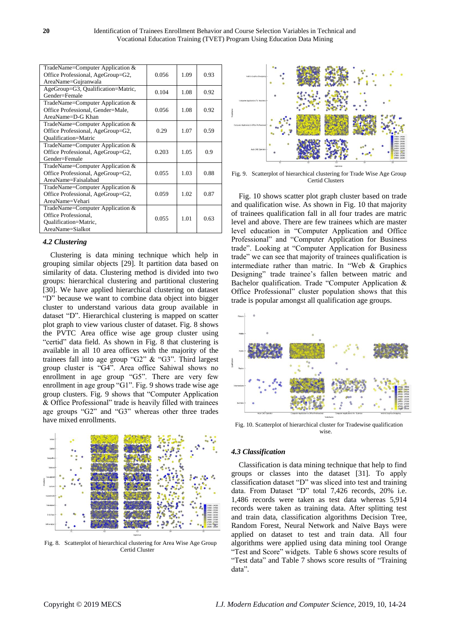| TradeName=Computer Application &   |       |      |      |
|------------------------------------|-------|------|------|
| Office Professional, AgeGroup=G2,  | 0.056 | 1.09 | 0.93 |
| AreaName=Gujranwala                |       |      |      |
| AgeGroup=G3, Qualification=Matric, | 0.104 | 1.08 | 0.92 |
| Gender=Female                      |       |      |      |
| TradeName=Computer Application &   |       |      |      |
| Office Professional, Gender=Male,  | 0.056 | 1.08 | 0.92 |
| $AreaName = D - G$ Khan            |       |      |      |
| TradeName=Computer Application &   |       |      |      |
| Office Professional, AgeGroup=G2,  | 0.29  | 1.07 | 0.59 |
| <b>Oualification=Matric</b>        |       |      |      |
| TradeName=Computer Application &   |       |      |      |
| Office Professional, AgeGroup=G2,  | 0.203 | 1.05 | 0.9  |
| Gender=Female                      |       |      |      |
| TradeName=Computer Application &   |       |      |      |
| Office Professional, AgeGroup=G2,  | 0.055 | 1.03 | 0.88 |
| AreaName=Faisalabad                |       |      |      |
| TradeName=Computer Application &   |       |      |      |
| Office Professional, AgeGroup=G2,  | 0.059 | 1.02 | 0.87 |
| AreaName=Vehari                    |       |      |      |
| TradeName=Computer Application &   |       |      |      |
| Office Professional.               | 0.055 | 1.01 | 0.63 |
| Oualification=Matric,              |       |      |      |
| AreaName=Sialkot                   |       |      |      |

## *4.2 Clustering*

Clustering is data mining technique which help in grouping similar objects [29]. It partition data based on similarity of data. Clustering method is divided into two groups: hierarchical clustering and partitional clustering [30]. We have applied hierarchical clustering on dataset "D" because we want to combine data object into bigger cluster to understand various data group available in dataset "D". Hierarchical clustering is mapped on scatter plot graph to view various cluster of dataset. Fig. 8 shows the PVTC Area office wise age group cluster using "certid" data field. As shown in Fig. 8 that clustering is available in all 10 area offices with the majority of the trainees fall into age group "G2" & "G3". Third largest group cluster is "G4". Area office Sahiwal shows no enrollment in age group "G5". There are very few enrollment in age group "G1". Fig. 9 shows trade wise age group clusters. Fig. 9 shows that "Computer Application & Office Professional" trade is heavily filled with trainees age groups "G2" and "G3" whereas other three trades have mixed enrollments.



Fig. 8. Scatterplot of hierarchical clustering for Area Wise Age Group Certid Cluster



Fig. 9. Scatterplot of hierarchical clustering for Trade Wise Age Group Certid Clusters

Fig. 10 shows scatter plot graph cluster based on trade and qualification wise. As shown in Fig. 10 that majority of trainees qualification fall in all four trades are matric level and above. There are few trainees which are master level education in "Computer Application and Office Professional" and "Computer Application for Business trade". Looking at "Computer Application for Business trade" we can see that majority of trainees qualification is intermediate rather than matric. In "Web & Graphics Designing" trade trainee's fallen between matric and Bachelor qualification. Trade "Computer Application & Office Professional" cluster population shows that this trade is popular amongst all qualification age groups.



Fig. 10. Scatterplot of hierarchical cluster for Tradewise qualification wise.

#### *4.3 Classification*

Classification is data mining technique that help to find groups or classes into the dataset [31]. To apply classification dataset "D" was sliced into test and training data. From Dataset "D" total 7,426 records, 20% i.e. 1,486 records were taken as test data whereas 5,914 records were taken as training data. After splitting test and train data, classification algorithms Decision Tree, Random Forest, Neural Network and Na ve Bays were applied on dataset to test and train data. All four algorithms were applied using data mining tool Orange "Test and Score" widgets. Table 6 shows score results of "Test data" and Table 7 shows score results of "Training data".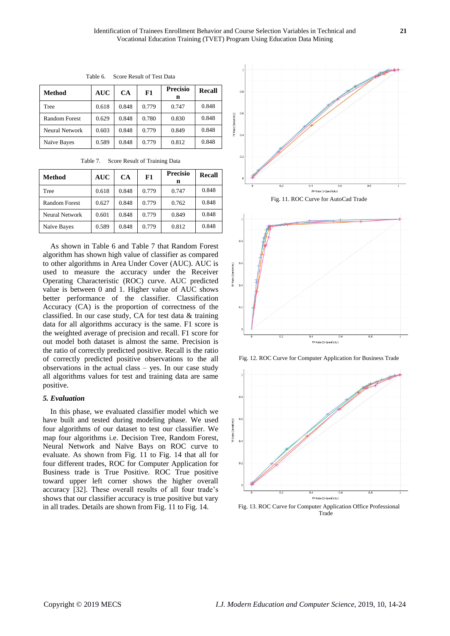| Method                | <b>AUC</b> | CA    | F1    | <b>Precisio</b><br>n | Recall |
|-----------------------|------------|-------|-------|----------------------|--------|
| Tree                  | 0.618      | 0.848 | 0.779 | 0.747                | 0.848  |
| <b>Random Forest</b>  | 0.629      | 0.848 | 0.780 | 0.830                | 0.848  |
| <b>Neural Network</b> | 0.603      | 0.848 | 0.779 | 0.849                | 0.848  |
| Na ve Bayes           | 0.589      | 0.848 | 0.779 | 0.812                | 0.848  |

Table 6. Score Result of Test Data

Table 7. Score Result of Training Data

| Method                | <b>AUC</b> | CA    | F1    | <b>Precisio</b><br>n | <b>Recall</b> |
|-----------------------|------------|-------|-------|----------------------|---------------|
| Tree                  | 0.618      | 0.848 | 0.779 | 0.747                | 0.848         |
| <b>Random Forest</b>  | 0.627      | 0.848 | 0.779 | 0.762                | 0.848         |
| <b>Neural Network</b> | 0.601      | 0.848 | 0.779 | 0.849                | 0.848         |
| Na ive Bayes          | 0.589      | 0.848 | 0.779 | 0.812                | 0.848         |

As shown in Table 6 and Table 7 that Random Forest algorithm has shown high value of classifier as compared to other algorithms in Area Under Cover (AUC). AUC is used to measure the accuracy under the Receiver Operating Characteristic (ROC) curve. AUC predicted value is between 0 and 1. Higher value of AUC shows better performance of the classifier. Classification Accuracy (CA) is the proportion of correctness of the classified. In our case study, CA for test data & training data for all algorithms accuracy is the same. F1 score is the weighted average of precision and recall. F1 score for out model both dataset is almost the same. Precision is the ratio of correctly predicted positive. Recall is the ratio of correctly predicted positive observations to the all observations in the actual class – yes. In our case study all algorithms values for test and training data are same positive.

#### *5. Evaluation*

In this phase, we evaluated classifier model which we have built and tested during modeling phase. We used four algorithms of our dataset to test our classifier. We map four algorithms i.e. Decision Tree, Random Forest, Neural Network and Naïve Bays on ROC curve to evaluate. As shown from Fig. 11 to Fig. 14 that all for four different trades, ROC for Computer Application for Business trade is True Positive. ROC True positive toward upper left corner shows the higher overall accuracy [32]. These overall results of all four trade's shows that our classifier accuracy is true positive but vary in all trades. Details are shown from Fig. 11 to Fig. 14.



Fig. 11. ROC Curve for AutoCad Trade



Fig. 12. ROC Curve for Computer Application for Business Trade



Fig. 13. ROC Curve for Computer Application Office Professional Trade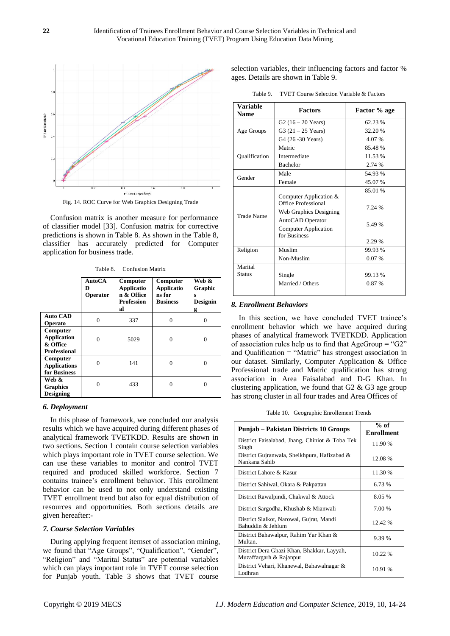

Fig. 14. ROC Curve for Web Graphics Designing Trade

Confusion matrix is another measure for performance of classifier model [33]. Confusion matrix for corrective predictions is shown in Table 8. As shown in the Table 8, classifier has accurately predicted for Computer application for business trade.

|                                                                   | <b>AutoCA</b><br>D<br>Operator | Computer<br><b>Applicatio</b><br>n & Office<br><b>Profession</b><br>al | Computer<br><b>Applicatio</b><br>ns for<br><b>Business</b> | Web &<br>Graphic<br>s<br><b>Designin</b><br>g |
|-------------------------------------------------------------------|--------------------------------|------------------------------------------------------------------------|------------------------------------------------------------|-----------------------------------------------|
| <b>Auto CAD</b><br>Operato                                        | $\theta$                       | 337                                                                    | 0                                                          | 0                                             |
| Computer<br><b>Application</b><br>& Office<br><b>Professional</b> | $\Omega$                       | 5029                                                                   | 0                                                          | $\Omega$                                      |
| Computer<br><b>Applications</b><br>for Business                   | $\Omega$                       | 141                                                                    | $\Omega$                                                   | $\Omega$                                      |
| Web &<br><b>Graphics</b><br><b>Designing</b>                      | 0                              | 433                                                                    | 0                                                          | 0                                             |

#### *6. Deployment*

In this phase of framework, we concluded our analysis results which we have acquired during different phases of analytical framework TVETKDD. Results are shown in two sections. Section 1 contain course selection variables which plays important role in TVET course selection. We can use these variables to monitor and control TVET required and produced skilled workforce. Section 7 contains trainee's enrollment behavior. This enrollment behavior can be used to not only understand existing TVET enrollment trend but also for equal distribution of resources and opportunities. Both sections details are given hereafter:-

## *7. Course Selection Variables*

During applying frequent itemset of association mining, we found that "Age Groups", "Qualification", "Gender", "Religion" and "Marital Status" are potential variables which can plays important role in TVET course selection for Punjab youth. Table 3 shows that TVET course

selection variables, their influencing factors and factor % ages. Details are shown in Table 9.

Table 9. TVET Course Selection Variable & Factors

| Variable<br><b>Name</b> | <b>Factors</b>                                                                                                                             | Factor % age                          |
|-------------------------|--------------------------------------------------------------------------------------------------------------------------------------------|---------------------------------------|
| Age Groups              | G2 $(16 - 20$ Years)                                                                                                                       | 62.23 %                               |
|                         | G3 $(21 - 25$ Years)                                                                                                                       | 32.20 %                               |
|                         | G4 (26 - 30 Years)                                                                                                                         | 4.07 %                                |
| Qualification           | Matric                                                                                                                                     | 85.48%                                |
|                         | Intermediate                                                                                                                               | 11.53 %                               |
|                         | <b>Bachelor</b>                                                                                                                            | 2.74 %                                |
| Gender                  | Male                                                                                                                                       | 54.93 %                               |
|                         | Female                                                                                                                                     | 45.07 %                               |
| <b>Trade Name</b>       | Computer Application &<br>Office Professional<br>Web Graphics Designing<br>AutoCAD Operator<br><b>Computer Application</b><br>for Business | 85.01 %<br>7.24 %<br>5.49 %<br>2.29 % |
| Religion                | Muslim                                                                                                                                     | 99.93 %                               |
|                         | Non-Muslim                                                                                                                                 | 0.07%                                 |
| Marital                 |                                                                                                                                            |                                       |
| <b>Status</b>           | Single                                                                                                                                     | 99.13 %                               |
|                         | Married / Others                                                                                                                           | 0.87 %                                |

#### *8. Enrollment Behaviors*

In this section, we have concluded TVET trainee's enrollment behavior which we have acquired during phases of analytical framework TVETKDD. Application of association rules help us to find that  $AgeGroup = "G2"$ and Qualification = "Matric" has strongest association in our dataset. Similarly, Computer Application & Office Professional trade and Matric qualification has strong association in Area Faisalabad and D-G Khan. In clustering application, we found that  $G2 \& G3$  age group has strong cluster in all four trades and Area Offices of

Table 10. Geographic Enrollement Trends

| Punjab – Pakistan Districts 10 Groups                                 | $%$ of<br><b>Enrollment</b> |
|-----------------------------------------------------------------------|-----------------------------|
| District Faisalabad, Jhang, Chiniot & Toba Tek<br>Singh               | 11.90 %                     |
| District Gujranwala, Sheikhpura, Hafizabad &<br>Nankana Sahib         | 12.08 %                     |
| District Lahore & Kasur                                               | 11.30 %                     |
| District Sahiwal, Okara & Pakpattan                                   | 6.73 %                      |
| District Rawalpindi, Chakwal & Attock                                 | 8.05 %                      |
| District Sargodha, Khushab & Mianwali                                 | 7.00 %                      |
| District Sialkot, Narowal, Gujrat, Mandi<br>Bahuddin & Jehlum         | 12.42 %                     |
| District Bahawalpur, Rahim Yar Khan &<br>Multan.                      | 9.39 %                      |
| District Dera Ghazi Khan, Bhakkar, Layyah,<br>Muzaffargarh & Rajanpur | 10.22 %                     |
| District Vehari, Khanewal, Bahawalnagar &<br>Lodhran                  | 10.91 %                     |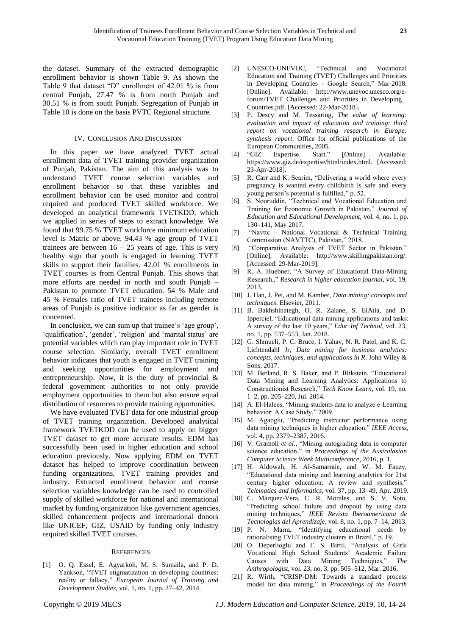the dataset. Summary of the extracted demographic enrollment behavior is shown Table 9. As shown the Table 9 that dataset "D" enrollment of 42.01 % is from central Punjab, 27.47 % is from north Punjab and 30.51 % is from south Punjab. Segregation of Punjab in Table 10 is done on the basis PVTC Regional structure.

### IV. CONCLUSION AND DISCUSSION

In this paper we have analyzed TVET actual enrollment data of TVET training provider organization of Punjab, Pakistan. The aim of this analysis was to understand TVET course selection variables and enrollment behavior so that these variables and enrollment behavior can be used monitor and control required and produced TVET skilled workforce. We developed an analytical framework TVETKDD, which we applied in series of steps to extract knowledge. We found that 99.75 % TVET workforce minimum education level is Matric or above. 94.43 % age group of TVET trainees are between  $16 - 25$  years of age. This is very healthy sign that youth is engaged in learning TVET skills to support their families. 42.01 % enrollments in TVET courses is from Central Punjab. This shows that more efforts are needed in north and south Punjab – Pakistan to promote TVET education. 54 % Male and 45 % Females ratio of TVET trainees including remote areas of Punjab is positive indicator as far as gender is concerned.

In conclusion, we can sum up that trainee's 'age group', 'qualification', 'gender', 'religion' and 'marital status' are potential variables which can play important role in TVET course selection. Similarly, overall TVET enrollment behavior indicates that youth is engaged in TVET training and seeking opportunities for employment and entrepreneurship. Now, it is the duty of provincial & federal government authorities to not only provide employment opportunities to them but also ensure equal distribution of resources to provide training opportunities.

We have evaluated TVET data for one industrial group of TVET training organization. Developed analytical framework TVETKDD can be used to apply on bigger TVET dataset to get more accurate results. EDM has successfully been used in higher education and school education previously. Now applying EDM on TVET dataset has helped to improve coordination between funding organizations, TVET training provides and industry. Extracted enrollment behavior and course selection variables knowledge can be used to controlled supply of skilled workforce for national and international market by funding organization like government agencies, skilled enhancement projects and international donors like UNICEF, GIZ, USAID by funding only industry required skilled TVET courses.

### **REFERENCES**

[1] O. Q. Essel, E. Agyarkoh, M. S. Sumaila, and P. D. Yankson, "TVET stigmatization in developing countries: reality or fallacy," *European Journal of Training and Development Studies*, vol. 1, no. 1, pp. 27–42, 2014.

- [2] UNESCO-UNEVOC, "Technical and Vocational Education and Training (TVET) Challenges and Priorities in Developing Countries - Google Search," Mar-2018. [Online]. Available: http://www.unevoc.unesco.org/eforum/TVET\_Challenges\_and\_Priorities\_in\_Developing\_ Countries.pdf. [Accessed: 22-Mar-2018].
- [3] P. Descy and M. Tessaring, *The value of learning: evaluation and impact of education and training: third report on vocational training research in Europe: synthesis report*. Office for official publications of the European Communities, 2005.
- [4] "GIZ Expertise. Start." [Online]. Available: https://www.giz.de/expertise/html/index.html. [Accessed: 23-Apr-2018].
- [5] R. Carr and K. Scarim, "Delivering a world where every pregnancy is wanted every childbirth is safe and every young person's potential is fulfilled," p. 52.
- [6] S. Nooruddin, "Technical and Vocational Education and Training for Economic Growth in Pakistan," *Journal of Education and Educational Development*, vol. 4, no. 1, pp. 130–141, May 2017.
- [7] "Navttc National Vocational & Technical Training Commission (NAVTTC), Pakistan," 2018. .
- [8] "Comparative Analysis of TVET Sector in Pakistan." [Online]. Available: http://www.skillingpakistan.org/. [Accessed: 29-Mar-2019].
- [9] R. A. Huebner, "A Survey of Educational Data-Mining Research.," *Research in higher education journal*, vol. 19, 2013.
- [10] J. Han, J. Pei, and M. Kamber, *Data mining: concepts and techniques*. Elsevier, 2011.
- [11] B. Bakhshinategh, O. R. Zaiane, S. ElAtia, and D. Ipperciel, "Educational data mining applications and tasks: A survey of the last 10 years," *Educ Inf Technol*, vol. 23, no. 1, pp. 537–553, Jan. 2018.
- [12] G. Shmueli, P. C. Bruce, I. Yahav, N. R. Patel, and K. C. Lichtendahl Jr, *Data mining for business analytics: concepts, techniques, and applications in R*. John Wiley & Sons, 2017.
- [13] M. Berland, R. S. Baker, and P. Blikstein, "Educational Data Mining and Learning Analytics: Applications to Constructionist Research," *Tech Know Learn*, vol. 19, no. 1–2, pp. 205–220, Jul. 2014.
- [14] A. El-Halees, "Mining students data to analyze e-Learning behavior: A Case Study," 2009.
- [15] M. Agaoglu, "Predicting instructor performance using data mining techniques in higher education," *IEEE Access*, vol. 4, pp. 2379–2387, 2016.
- [16] V. Gramoli *et al.*, "Mining autograding data in computer science education," in *Proceedings of the Australasian Computer Science Week Multiconference*, 2016, p. 1.
- [17] H. Aldowah, H. Al-Samarraie, and W. M. Fauzy, "Educational data mining and learning analytics for 21st century higher education: A review and synthesis," *Telematics and Informatics*, vol. 37, pp. 13–49, Apr. 2019.
- [18] C. Márquez-Vera, C. R. Morales, and S. V. Soto, "Predicting school failure and dropout by using data mining techniques," *IEEE Revista Iberoamericana de Tecnologias del Aprendizaje*, vol. 8, no. 1, pp. 7–14, 2013.
- [19] P. N. Marra, "Identifying educational needs by rationalising TVET industry clusters in Brazil," p. 19.
- [20] O. Deperlioglu and F. S. Birtil, "Analysis of Girls Vocational High School Students' Academic Failure Causes with Data Mining Techniques," *The Anthropologist*, vol. 23, no. 3, pp. 505–512, Mar. 2016.
- [21] R. Wirth, "CRISP-DM: Towards a standard process model for data mining," in *Proceedings of the Fourth*